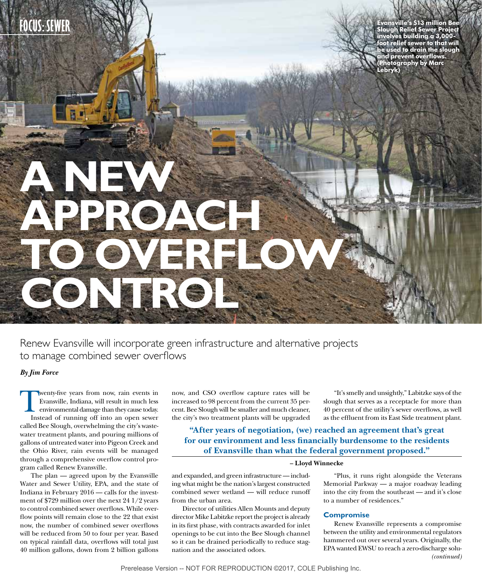**A NEW** 

**APPROACH** 

**CONTROL**

**FOCUS: SEWER Evansville's \$13 million Bee Slough Relief Sewer Project involves building a 3,000 foot relief sewer to that will be used to drain the slough and prevent overflows. (Photography by Marc Lebryk)**

Renew Evansville will incorporate green infrastructure and alternative projects to manage combined sewer overflows

VERFLO

### *By Jim Force*

Twenty-five years from now, rain events in Evansville, Indiana, will result in much less environmental damage than they cause today. Instead of running off into an open sewer called Bee Slough, overwhelming the city's wastewater treatment plants, and pouring millions of gallons of untreated water into Pigeon Creek and the Ohio River, rain events will be managed through a comprehensive overflow control program called Renew Evansville.

The plan — agreed upon by the Evansville Water and Sewer Utility, EPA, and the state of Indiana in February 2016 — calls for the investment of \$729 million over the next 24 1/2 years to control combined sewer overflows. While overflow points will remain close to the 22 that exist now, the number of combined sewer overflows will be reduced from 50 to four per year. Based on typical rainfall data, overflows will total just 40 million gallons, down from 2 billion gallons

now, and CSO overflow capture rates will be increased to 98 percent from the current 35 percent. Bee Slough will be smaller and much cleaner, the city's two treatment plants will be upgraded

"It's smelly and unsightly," Labitzke says of the slough that serves as a receptacle for more than 40 percent of the utility's sewer overflows, as well as the effluent from its East Side treatment plant.

**"After years of negotiation, (we) reached an agreement that's great for our environment and less financially burdensome to the residents of Evansville than what the federal government proposed."** 

### **– Lloyd Winnecke**

and expanded, and green infrastructure — including what might be the nation's largest constructed combined sewer wetland — will reduce runoff from the urban area.

Director of utilities Allen Mounts and deputy director Mike Labitzke report the project is already in its first phase, with contracts awarded for inlet openings to be cut into the Bee Slough channel so it can be drained periodically to reduce stagnation and the associated odors.

"Plus, it runs right alongside the Veterans Memorial Parkway — a major roadway leading into the city from the southeast — and it's close to a number of residences."

### **Compromise**

Renew Evansville represents a compromise between the utility and environmental regulators hammered out over several years. Originally, the EPA wanted EWSU to reach a zero-discharge solu- *(continued)*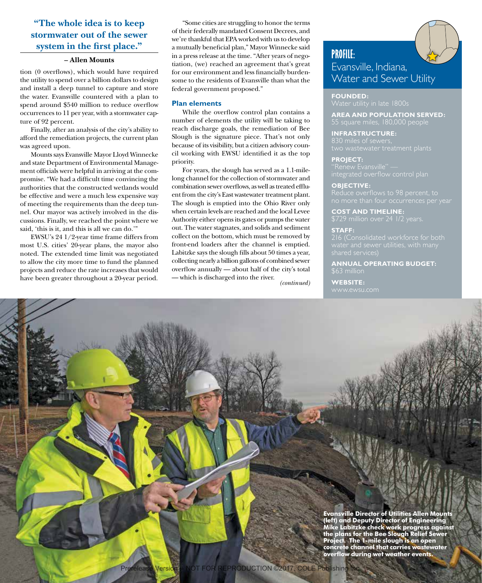### **"The whole idea is to keep stormwater out of the sewer system in the first place."**

### **– Allen Mounts**

tion (0 overflows), which would have required the utility to spend over a billion dollars to design and install a deep tunnel to capture and store the water. Evansville countered with a plan to spend around \$540 million to reduce overflow occurrences to 11 per year, with a stormwater capture of 92 percent.

Finally, after an analysis of the city's ability to afford the remediation projects, the current plan was agreed upon.

Mounts says Evansville Mayor Lloyd Winnecke and state Department of Environmental Management officials were helpful in arriving at the compromise. "We had a difficult time convincing the authorities that the constructed wetlands would be effective and were a much less expensive way of meeting the requirements than the deep tunnel. Our mayor was actively involved in the discussions. Finally, we reached the point where we said, 'this is it, and this is all we can do.'"

EWSU's 24 1/2-year time frame differs from most U.S. cities' 20-year plans, the mayor also noted. The extended time limit was negotiated to allow the city more time to fund the planned projects and reduce the rate increases that would have been greater throughout a 20-year period.

"Some cities are struggling to honor the terms of their federally mandated Consent Decrees, and we're thankful that EPA worked with us to develop a mutually beneficial plan," Mayor Winnecke said in a press release at the time. "After years of negotiation, (we) reached an agreement that's great for our environment and less financially burdensome to the residents of Evansville than what the federal government proposed."

### **Plan elements**

While the overflow control plan contains a number of elements the utility will be taking to reach discharge goals, the remediation of Bee Slough is the signature piece. That's not only because of its visibility, but a citizen advisory council working with EWSU identified it as the top priority.

For years, the slough has served as a 1.1-milelong channel for the collection of stormwater and combination sewer overflows, as well as treated effluent from the city's East wastewater treatment plant. The slough is emptied into the Ohio River only when certain levels are reached and the local Levee Authority either opens its gates or pumps the water out. The water stagnates, and solids and sediment collect on the bottom, which must be removed by front-end loaders after the channel is emptied. Labitzke says the slough fills about 50 times a year, collecting nearly a billion gallons of combined sewer overflow annually — about half of the city's total — which is discharged into the river.

*(continued)*



### **PROFILE:** Evansville, Indiana, Water and Sewer Utility

# **FOUNDED:**

**AREA AND POPULATION SERVED:** 55 square miles, 180,000 people

**INFRASTRUCTURE:**  830 miles of sewers,

**PROJECT:**

**OBJECTIVE:** 

**COST AND TIMELINE:**  \$729 million over 24 1/2 years.

**STAFF:** 

**ANNUAL OPERATING BUDGET:** 

**WEBSITE:** 

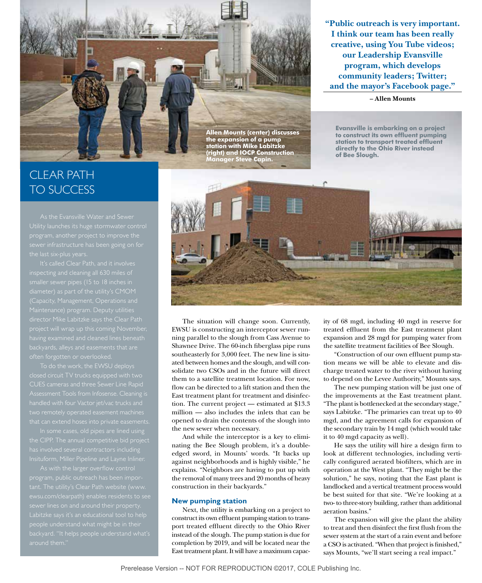**"Public outreach is very important. I think our team has been really creative, using You Tube videos; our Leadership Evansville program, which develops community leaders; Twitter; and the mayor's Facebook page."**

#### **– Allen Mounts**

**Evansville is embarking on a project to construct its own effluent pumping station to transport treated effluent directly to the Ohio River instead** 

**of Bee Slough.**

**Allen Mounts (center) discusses the expansion of a pump station with Mike Labitzke (right) and IOCP Construction Manager Steve Capin.**

## CLEAR PATH TO SUCCESS

having examined and cleaned lines beneath

closed circuit TV trucks equipped with two that can extend hoses into private easements.

As with the larger overflow control Labitzke says it's an educational tool to help around them."



The situation will change soon. Currently, EWSU is constructing an interceptor sewer running parallel to the slough from Cass Avenue to Shawnee Drive. The 60-inch fiberglass pipe runs southeasterly for 3,000 feet. The new line is situated between homes and the slough, and will consolidate two CSOs and in the future will direct them to a satellite treatment location. For now, flow can be directed to a lift station and then the East treatment plant for treatment and disinfection. The current project — estimated at \$13.3 million — also includes the inlets that can be opened to drain the contents of the slough into the new sewer when necessary.

And while the interceptor is a key to eliminating the Bee Slough problem, it's a doubleedged sword, in Mounts' words. "It backs up against neighborhoods and is highly visible," he explains. "Neighbors are having to put up with the removal of many trees and 20 months of heavy construction in their backyards."

### **New pumping station**

Next, the utility is embarking on a project to construct its own effluent pumping station to transport treated effluent directly to the Ohio River instead of the slough. The pump station is due for completion by 2019, and will be located near the East treatment plant. It will have a maximum capacity of 68 mgd, including 40 mgd in reserve for treated effluent from the East treatment plant expansion and 28 mgd for pumping water from the satellite treatment facilities of Bee Slough.

"Construction of our own effluent pump station means we will be able to elevate and discharge treated water to the river without having to depend on the Levee Authority," Mounts says.

The new pumping station will be just one of the improvements at the East treatment plant. "The plant is bottlenecked at the secondary stage," says Labitzke. "The primaries can treat up to 40 mgd, and the agreement calls for expansion of the secondary train by 14 mgd (which would take it to 40 mgd capacity as well).

He says the utility will hire a design firm to look at different technologies, including vertically configured aerated biofilters, which are in operation at the West plant. "They might be the solution," he says, noting that the East plant is landlocked and a vertical treatment process would be best suited for that site. "We're looking at a two- to three-story building, rather than additional aeration basins."

The expansion will give the plant the ability to treat and then disinfect the first flush from the sewer system at the start of a rain event and before a CSO is activated. "When that project is finished," says Mounts, "we'll start seeing a real impact."